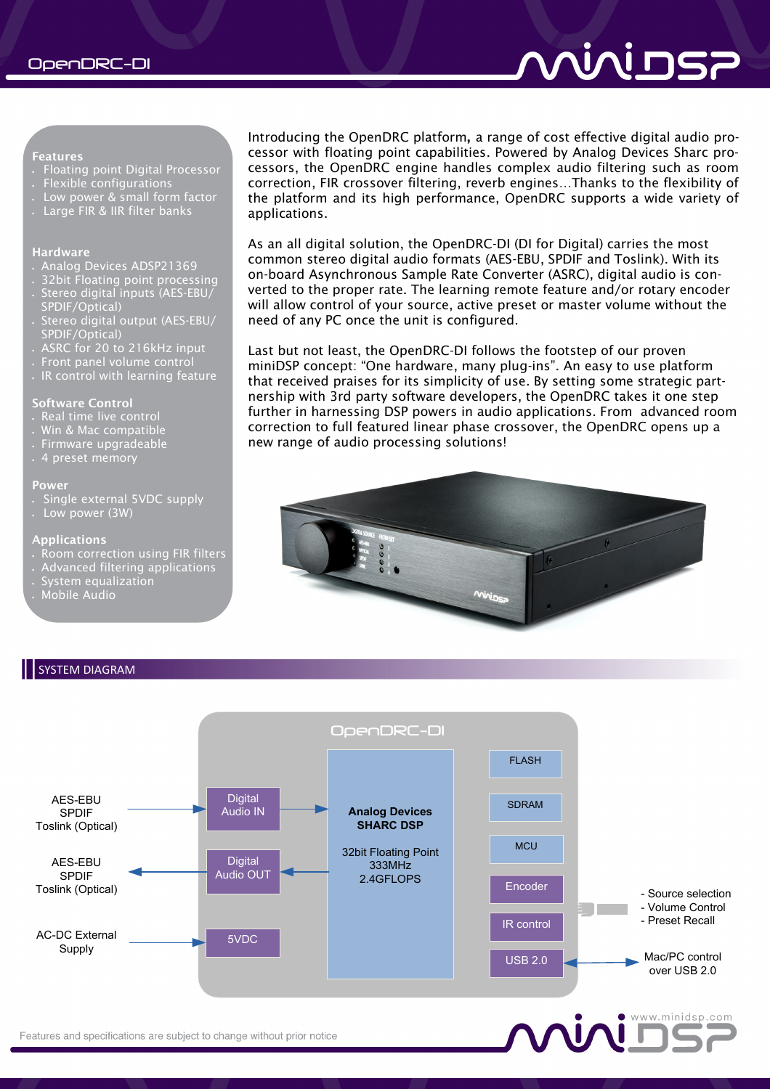#### **Features**

- Floating point Digital Processor
- Flexible configurations
- Low power & small form factor
- Large FIR & IIR filter banks

# **Hardware**

- Analog Devices ADSP21369
- 32bit Floating point processing
- . Stereo digital inputs (AES-EBU/ SPDIF/Optical)
- Stereo digital output (AES-EBU/ SPDIF/Optical)
- ASRC for 20 to 216kHz input
- Front panel volume control
- $\,$  IR control with learning feature

# **Software Control**

- 
- Win & Mac compatible
- Firmware upgradeable
- 4 preset memory

#### **Power**

- Single external 5VDC supply
- Low power (3W)

### **Applications**

- Room correction using FIR filters
- Advanced filtering applications
- System equalization
- Mobile Audio



As an all digital solution, the OpenDRC-DI (DI for Digital) carries the most common stereo digital audio formats (AES-EBU, SPDIF and Toslink). With its on-board Asynchronous Sample Rate Converter (ASRC), digital audio is converted to the proper rate. The learning remote feature and/or rotary encoder will allow control of your source, active preset or master volume without the need of any PC once the unit is configured.

Last but not least, the OpenDRC-DI follows the footstep of our proven miniDSP concept: "One hardware, many plug-ins". An easy to use platform that received praises for its simplicity of use. By setting some strategic partnership with 3rd party software developers, the OpenDRC takes it one step further in harnessing DSP powers in audio applications. From advanced room correction to full featured linear phase crossover, the OpenDRC opens up a new range of audio processing solutions!



# SYSTEM DIAGRAM